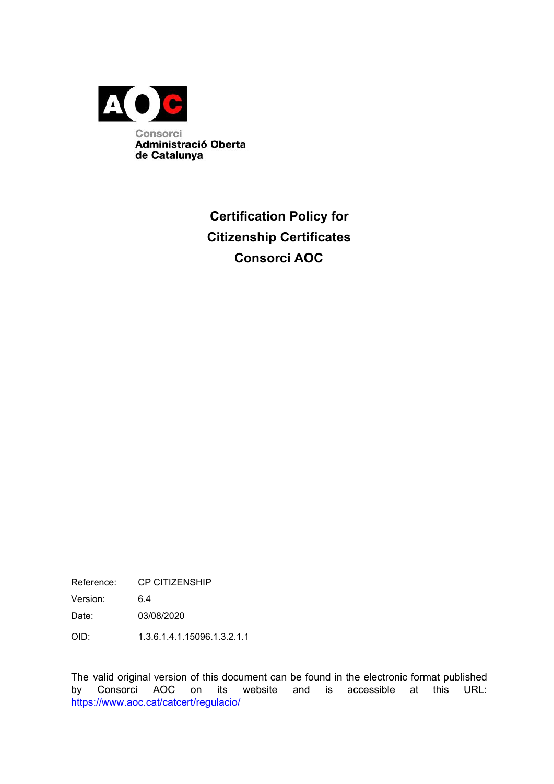

## **Certification Policy for Citizenship Certificates Consorci AOC**

Reference: CP CITIZENSHIP

Version: 6.4

Date: 03/08/2020

OID: 1.3.6.1.4.1.15096.1.3.2.1.1

The valid original version of this document can be found in the electronic format published by Consorci AOC on its website and is accessible at this URL: <https://www.aoc.cat/catcert/regulacio/>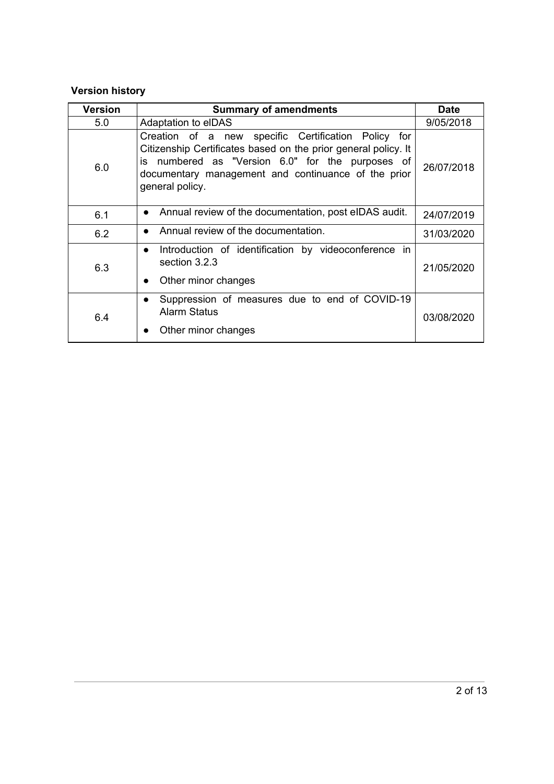### **Version history**

| <b>Version</b> | <b>Summary of amendments</b>                                                                                                                                                                                                                        | <b>Date</b> |
|----------------|-----------------------------------------------------------------------------------------------------------------------------------------------------------------------------------------------------------------------------------------------------|-------------|
| 5.0            | Adaptation to elDAS                                                                                                                                                                                                                                 | 9/05/2018   |
| 6.0            | Creation of a new specific Certification Policy for<br>Citizenship Certificates based on the prior general policy. It<br>is numbered as "Version 6.0" for the purposes of<br>documentary management and continuance of the prior<br>general policy. | 26/07/2018  |
| 6.1            | Annual review of the documentation, post eIDAS audit.<br>$\bullet$                                                                                                                                                                                  | 24/07/2019  |
| 6.2            | Annual review of the documentation.                                                                                                                                                                                                                 | 31/03/2020  |
| 6.3            | Introduction of identification by videoconference in<br>$\bullet$<br>section 3.2.3<br>Other minor changes                                                                                                                                           | 21/05/2020  |
| 6.4            | Suppression of measures due to end of COVID-19<br><b>Alarm Status</b><br>Other minor changes                                                                                                                                                        | 03/08/2020  |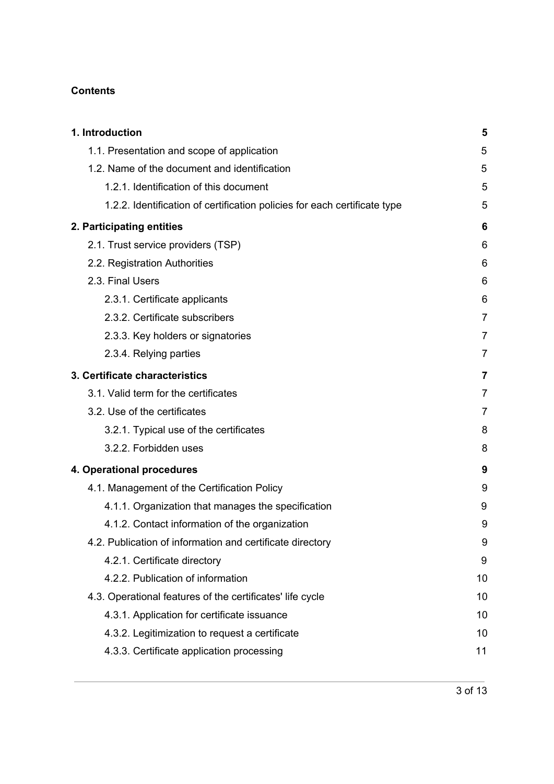#### **Contents**

| 1. Introduction                                                           | 5              |
|---------------------------------------------------------------------------|----------------|
| 1.1. Presentation and scope of application                                | 5              |
| 1.2. Name of the document and identification                              | 5              |
| 1.2.1. Identification of this document                                    | 5              |
| 1.2.2. Identification of certification policies for each certificate type | 5              |
| 2. Participating entities                                                 | 6              |
| 2.1. Trust service providers (TSP)                                        | 6              |
| 2.2. Registration Authorities                                             | 6              |
| 2.3. Final Users                                                          | 6              |
| 2.3.1. Certificate applicants                                             | 6              |
| 2.3.2. Certificate subscribers                                            | $\overline{7}$ |
| 2.3.3. Key holders or signatories                                         | $\overline{7}$ |
| 2.3.4. Relying parties                                                    | 7              |
| 3. Certificate characteristics                                            | 7              |
| 3.1. Valid term for the certificates                                      | $\overline{7}$ |
| 3.2. Use of the certificates                                              | 7              |
| 3.2.1. Typical use of the certificates                                    | 8              |
| 3.2.2. Forbidden uses                                                     | 8              |
| 4. Operational procedures                                                 | 9              |
| 4.1. Management of the Certification Policy                               | 9              |
| 4.1.1. Organization that manages the specification                        | 9              |
| 4.1.2. Contact information of the organization                            | 9              |
| 4.2. Publication of information and certificate directory                 | 9              |
| 4.2.1. Certificate directory                                              | 9              |
| 4.2.2. Publication of information                                         | 10             |
| 4.3. Operational features of the certificates' life cycle                 | 10             |
| 4.3.1. Application for certificate issuance                               | 10             |
| 4.3.2. Legitimization to request a certificate                            | 10             |
| 4.3.3. Certificate application processing                                 | 11             |
|                                                                           |                |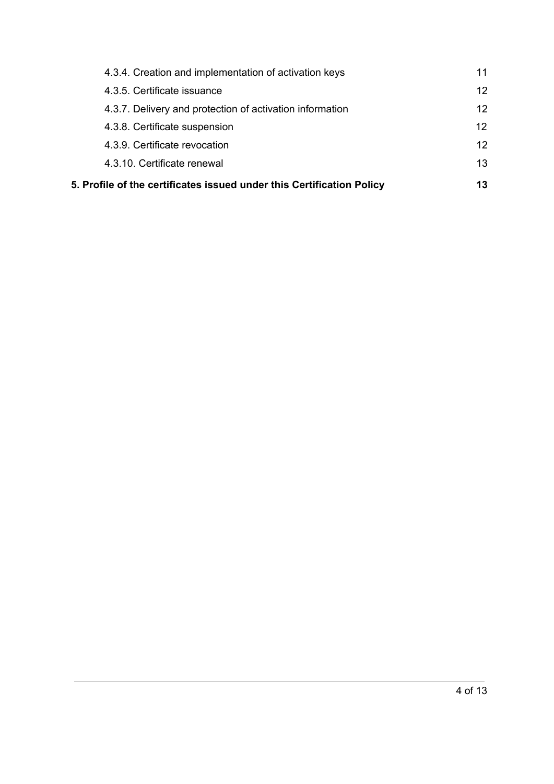| 4.3.4. Creation and implementation of activation keys                 |    |
|-----------------------------------------------------------------------|----|
| 4.3.5. Certificate issuance                                           | 12 |
| 4.3.7. Delivery and protection of activation information              | 12 |
| 4.3.8. Certificate suspension                                         | 12 |
| 4.3.9. Certificate revocation                                         | 12 |
| 4.3.10. Certificate renewal                                           | 13 |
| 5. Profile of the certificates issued under this Certification Policy | 13 |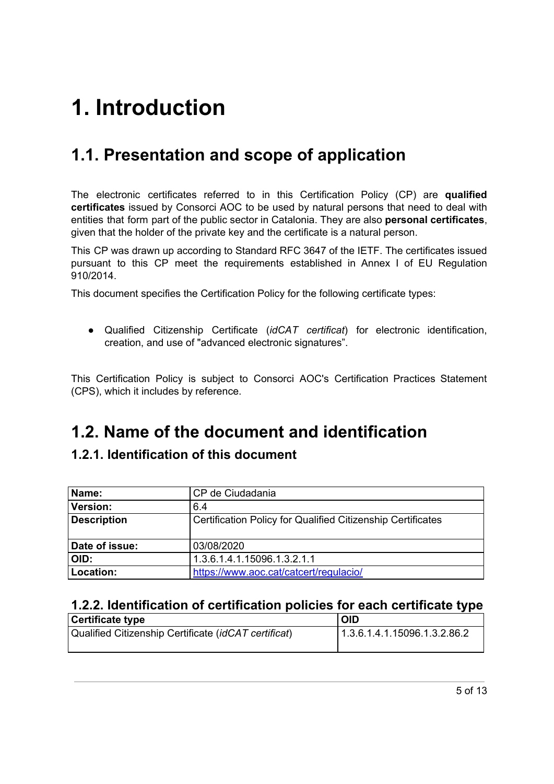# <span id="page-4-0"></span>**1. Introduction**

## <span id="page-4-1"></span>**1.1. Presentation and scope of application**

The electronic certificates referred to in this Certification Policy (CP) are **qualified certificates** issued by Consorci AOC to be used by natural persons that need to deal with entities that form part of the public sector in Catalonia. They are also **personal certificates**, given that the holder of the private key and the certificate is a natural person.

This CP was drawn up according to Standard RFC 3647 of the IETF. The certificates issued pursuant to this CP meet the requirements established in Annex I of EU Regulation 910/2014.

This document specifies the Certification Policy for the following certificate types:

● Qualified Citizenship Certificate (*idCAT certificat*) for electronic identification, creation, and use of "advanced electronic signatures".

This Certification Policy is subject to Consorci AOC's Certification Practices Statement (CPS), which it includes by reference.

## <span id="page-4-2"></span>**1.2. Name of the document and identification**

#### <span id="page-4-3"></span>**1.2.1. Identification of this document**

| Name:                                               | CP de Ciudadania                                            |  |
|-----------------------------------------------------|-------------------------------------------------------------|--|
| <b>Version:</b>                                     | 6.4                                                         |  |
| <b>Description</b>                                  | Certification Policy for Qualified Citizenship Certificates |  |
| Date of issue:                                      | 03/08/2020                                                  |  |
| OID:                                                | 1.3.6.1.4.1.15096.1.3.2.1.1                                 |  |
| Location:<br>https://www.aoc.cat/catcert/regulacio/ |                                                             |  |

### <span id="page-4-4"></span>**1.2.2. Identification of certification policies for each certificate type**

| Certificate type                                     | <b>OID</b>                   |
|------------------------------------------------------|------------------------------|
| Qualified Citizenship Certificate (idCAT certificat) | 1.3.6.1.4.1.15096.1.3.2.86.2 |
|                                                      |                              |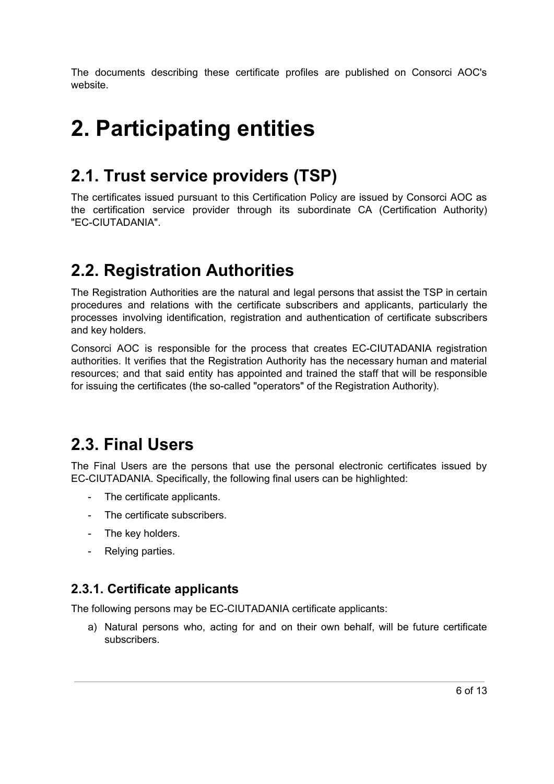The documents describing these certificate profiles are published on Consorci AOC's website.

# <span id="page-5-0"></span>**2. Participating entities**

## <span id="page-5-1"></span>**2.1. Trust service providers (TSP)**

The certificates issued pursuant to this Certification Policy are issued by Consorci AOC as the certification service provider through its subordinate CA (Certification Authority) "EC-CIUTADANIA".

## <span id="page-5-2"></span>**2.2. Registration Authorities**

The Registration Authorities are the natural and legal persons that assist the TSP in certain procedures and relations with the certificate subscribers and applicants, particularly the processes involving identification, registration and authentication of certificate subscribers and key holders.

Consorci AOC is responsible for the process that creates EC-CIUTADANIA registration authorities. It verifies that the Registration Authority has the necessary human and material resources; and that said entity has appointed and trained the staff that will be responsible for issuing the certificates (the so-called "operators" of the Registration Authority).

## <span id="page-5-3"></span>**2.3. Final Users**

The Final Users are the persons that use the personal electronic certificates issued by EC-CIUTADANIA. Specifically, the following final users can be highlighted:

- The certificate applicants.
- The certificate subscribers.
- The key holders.
- Relying parties.

### <span id="page-5-4"></span>**2.3.1. Certificate applicants**

The following persons may be EC-CIUTADANIA certificate applicants:

a) Natural persons who, acting for and on their own behalf, will be future certificate subscribers.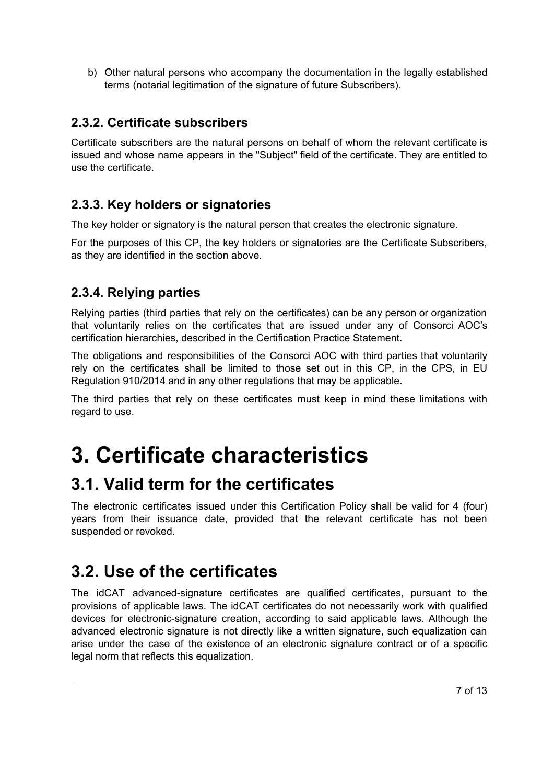b) Other natural persons who accompany the documentation in the legally established terms (notarial legitimation of the signature of future Subscribers).

### <span id="page-6-0"></span>**2.3.2. Certificate subscribers**

Certificate subscribers are the natural persons on behalf of whom the relevant certificate is issued and whose name appears in the "Subject" field of the certificate. They are entitled to use the certificate.

### <span id="page-6-1"></span>**2.3.3. Key holders or signatories**

The key holder or signatory is the natural person that creates the electronic signature.

For the purposes of this CP, the key holders or signatories are the Certificate Subscribers, as they are identified in the section above.

### <span id="page-6-2"></span>**2.3.4. Relying parties**

Relying parties (third parties that rely on the certificates) can be any person or organization that voluntarily relies on the certificates that are issued under any of Consorci AOC's certification hierarchies, described in the Certification Practice Statement.

The obligations and responsibilities of the Consorci AOC with third parties that voluntarily rely on the certificates shall be limited to those set out in this CP, in the CPS, in EU Regulation 910/2014 and in any other regulations that may be applicable.

The third parties that rely on these certificates must keep in mind these limitations with regard to use.

# <span id="page-6-3"></span>**3. Certificate characteristics**

## <span id="page-6-4"></span>**3.1. Valid term for the certificates**

The electronic certificates issued under this Certification Policy shall be valid for 4 (four) years from their issuance date, provided that the relevant certificate has not been suspended or revoked.

## <span id="page-6-5"></span>**3.2. Use of the certificates**

The idCAT advanced-signature certificates are qualified certificates, pursuant to the provisions of applicable laws. The idCAT certificates do not necessarily work with qualified devices for electronic-signature creation, according to said applicable laws. Although the advanced electronic signature is not directly like a written signature, such equalization can arise under the case of the existence of an electronic signature contract or of a specific legal norm that reflects this equalization.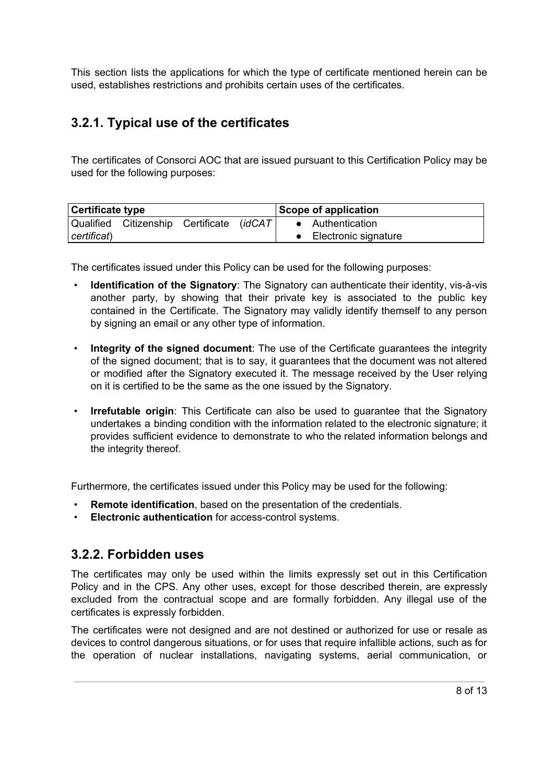This section lists the applications for which the type of certificate mentioned herein can be used, establishes restrictions and prohibits certain uses of the certificates.

### <span id="page-7-0"></span>**3.2.1. Typical use of the certificates**

The certificates of Consorci AOC that are issued pursuant to this Certification Policy may be used for the following purposes:

| Certificate type |                                           |  | Scope of application |                      |  |
|------------------|-------------------------------------------|--|----------------------|----------------------|--|
|                  | Qualified Citizenship Certificate (idCAT) |  |                      | • Authentication     |  |
| certificat)      |                                           |  |                      | Electronic signature |  |

The certificates issued under this Policy can be used for the following purposes:

- **Identification of the Signatory**: The Signatory can authenticate their identity, vis-à-vis another party, by showing that their private key is associated to the public key contained in the Certificate. The Signatory may validly identify themself to any person by signing an email or any other type of information.
- **Integrity of the signed document**: The use of the Certificate guarantees the integrity of the signed document; that is to say, it guarantees that the document was not altered or modified after the Signatory executed it. The message received by the User relying on it is certified to be the same as the one issued by the Signatory.
- **Irrefutable origin**: This Certificate can also be used to guarantee that the Signatory undertakes a binding condition with the information related to the electronic signature; it provides sufficient evidence to demonstrate to who the related information belongs and the integrity thereof.

Furthermore, the certificates issued under this Policy may be used for the following:

- **Remote identification**, based on the presentation of the credentials.
- **Electronic authentication** for access-control systems.

### <span id="page-7-1"></span>**3.2.2. Forbidden uses**

The certificates may only be used within the limits expressly set out in this Certification Policy and in the CPS. Any other uses, except for those described therein, are expressly excluded from the contractual scope and are formally forbidden. Any illegal use of the certificates is expressly forbidden.

The certificates were not designed and are not destined or authorized for use or resale as devices to control dangerous situations, or for uses that require infallible actions, such as for the operation of nuclear installations, navigating systems, aerial communication, or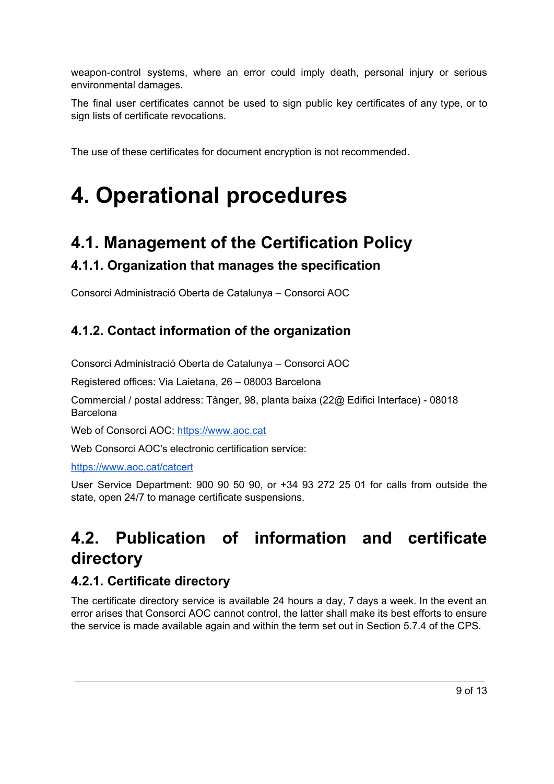weapon-control systems, where an error could imply death, personal injury or serious environmental damages.

The final user certificates cannot be used to sign public key certificates of any type, or to sign lists of certificate revocations.

The use of these certificates for document encryption is not recommended.

# <span id="page-8-0"></span>**4. Operational procedures**

## <span id="page-8-1"></span>**4.1. Management of the Certification Policy**

### <span id="page-8-2"></span>**4.1.1. Organization that manages the specification**

Consorci Administració Oberta de Catalunya – Consorci AOC

### <span id="page-8-3"></span>**4.1.2. Contact information of the organization**

Consorci Administració Oberta de Catalunya – Consorci AOC

Registered offices: Via Laietana, 26 – 08003 Barcelona

Commercial / postal address: Tànger, 98, planta baixa (22@ Edifici Interface) - 08018 Barcelona

Web of Consorci AOC: https://[www.aoc.cat](https://www.aoc.cat/)

Web Consorci AOC's electronic certification service:

https://[www.aoc.cat/catcert](http://www.aoc.cat/catcert)

User Service Department: 900 90 50 90, or +34 93 272 25 01 for calls from outside the state, open 24/7 to manage certificate suspensions.

# <span id="page-8-4"></span>**4.2. Publication of information and certificate directory**

### <span id="page-8-5"></span>**4.2.1. Certificate directory**

The certificate directory service is available 24 hours a day, 7 days a week. In the event an error arises that Consorci AOC cannot control, the latter shall make its best efforts to ensure the service is made available again and within the term set out in Section 5.7.4 of the CPS.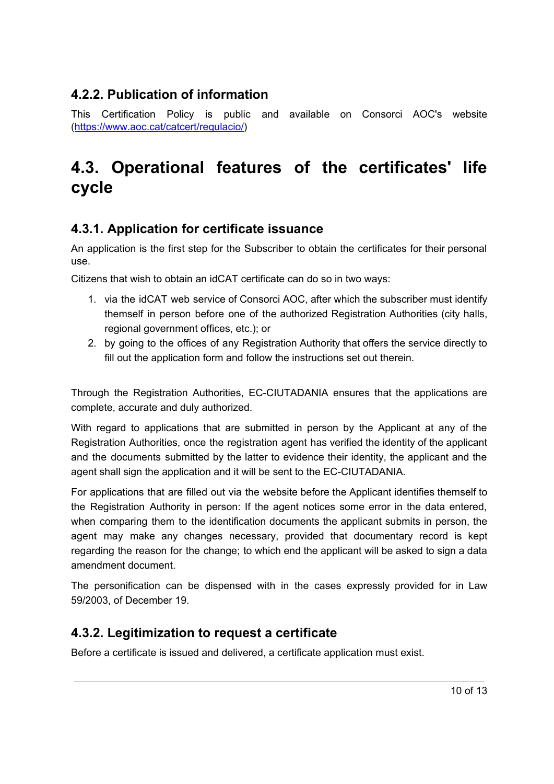### <span id="page-9-0"></span>**4.2.2. Publication of information**

This Certification Policy is public and available on Consorci AOC's website [\(https://www.aoc.cat/catcert/regulacio/\)](https://www.aoc.cat/catcert/regulacio/)

## <span id="page-9-1"></span>**4.3. Operational features of the certificates' life cycle**

### <span id="page-9-2"></span>**4.3.1. Application for certificate issuance**

An application is the first step for the Subscriber to obtain the certificates for their personal use.

Citizens that wish to obtain an idCAT certificate can do so in two ways:

- 1. via the idCAT web service of Consorci AOC, after which the subscriber must identify themself in person before one of the authorized Registration Authorities (city halls, regional government offices, etc.); or
- 2. by going to the offices of any Registration Authority that offers the service directly to fill out the application form and follow the instructions set out therein.

Through the Registration Authorities, EC-CIUTADANIA ensures that the applications are complete, accurate and duly authorized.

With regard to applications that are submitted in person by the Applicant at any of the Registration Authorities, once the registration agent has verified the identity of the applicant and the documents submitted by the latter to evidence their identity, the applicant and the agent shall sign the application and it will be sent to the EC-CIUTADANIA.

For applications that are filled out via the website before the Applicant identifies themself to the Registration Authority in person: If the agent notices some error in the data entered, when comparing them to the identification documents the applicant submits in person, the agent may make any changes necessary, provided that documentary record is kept regarding the reason for the change; to which end the applicant will be asked to sign a data amendment document.

The personification can be dispensed with in the cases expressly provided for in Law 59/2003, of December 19.

## <span id="page-9-3"></span>**4.3.2. Legitimization to request a certificate**

Before a certificate is issued and delivered, a certificate application must exist.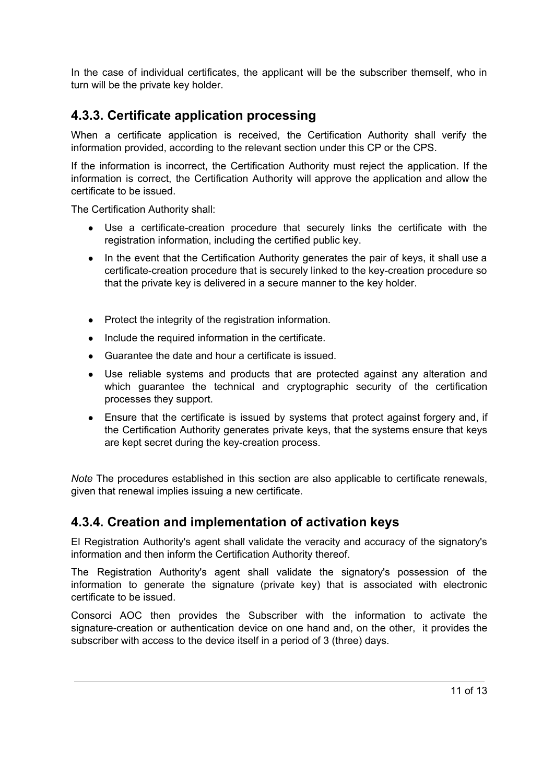In the case of individual certificates, the applicant will be the subscriber themself, who in turn will be the private key holder.

### <span id="page-10-0"></span>**4.3.3. Certificate application processing**

When a certificate application is received, the Certification Authority shall verify the information provided, according to the relevant section under this CP or the CPS.

If the information is incorrect, the Certification Authority must reject the application. If the information is correct, the Certification Authority will approve the application and allow the certificate to be issued.

The Certification Authority shall:

- Use a certificate-creation procedure that securely links the certificate with the registration information, including the certified public key.
- In the event that the Certification Authority generates the pair of keys, it shall use a certificate-creation procedure that is securely linked to the key-creation procedure so that the private key is delivered in a secure manner to the key holder.
- Protect the integrity of the registration information.
- Include the required information in the certificate.
- Guarantee the date and hour a certificate is issued.
- Use reliable systems and products that are protected against any alteration and which guarantee the technical and cryptographic security of the certification processes they support.
- Ensure that the certificate is issued by systems that protect against forgery and, if the Certification Authority generates private keys, that the systems ensure that keys are kept secret during the key-creation process.

*Note* The procedures established in this section are also applicable to certificate renewals, given that renewal implies issuing a new certificate.

#### <span id="page-10-1"></span>**4.3.4. Creation and implementation of activation keys**

El Registration Authority's agent shall validate the veracity and accuracy of the signatory's information and then inform the Certification Authority thereof.

The Registration Authority's agent shall validate the signatory's possession of the information to generate the signature (private key) that is associated with electronic certificate to be issued.

Consorci AOC then provides the Subscriber with the information to activate the signature-creation or authentication device on one hand and, on the other, it provides the subscriber with access to the device itself in a period of 3 (three) days.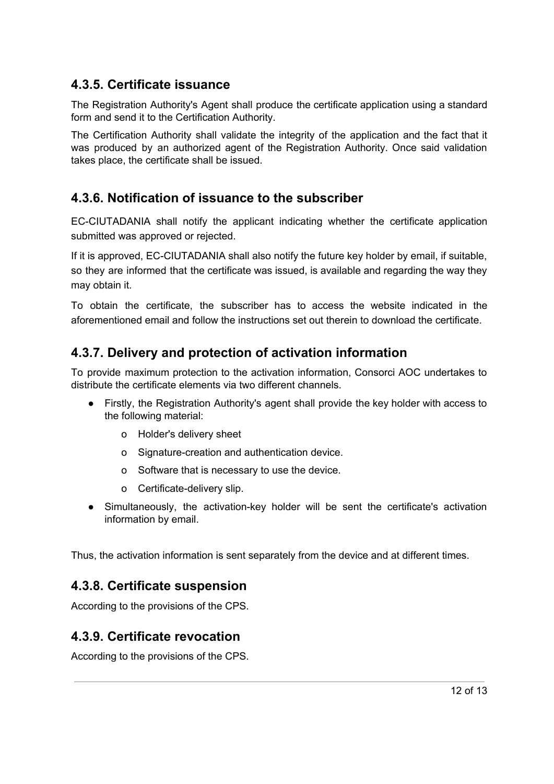### <span id="page-11-0"></span>**4.3.5. Certificate issuance**

The Registration Authority's Agent shall produce the certificate application using a standard form and send it to the Certification Authority.

The Certification Authority shall validate the integrity of the application and the fact that it was produced by an authorized agent of the Registration Authority. Once said validation takes place, the certificate shall be issued.

### **4.3.6. Notification of issuance to the subscriber**

EC-CIUTADANIA shall notify the applicant indicating whether the certificate application submitted was approved or rejected.

If it is approved, EC-CIUTADANIA shall also notify the future key holder by email, if suitable, so they are informed that the certificate was issued, is available and regarding the way they may obtain it.

To obtain the certificate, the subscriber has to access the website indicated in the aforementioned email and follow the instructions set out therein to download the certificate.

### <span id="page-11-1"></span>**4.3.7. Delivery and protection of activation information**

To provide maximum protection to the activation information, Consorci AOC undertakes to distribute the certificate elements via two different channels.

- Firstly, the Registration Authority's agent shall provide the key holder with access to the following material:
	- o Holder's delivery sheet
	- o Signature-creation and authentication device.
	- o Software that is necessary to use the device.
	- o Certificate-delivery slip.
- Simultaneously, the activation-key holder will be sent the certificate's activation information by email.

<span id="page-11-2"></span>Thus, the activation information is sent separately from the device and at different times.

#### **4.3.8. Certificate suspension**

According to the provisions of the CPS.

#### <span id="page-11-3"></span>**4.3.9. Certificate revocation**

According to the provisions of the CPS.